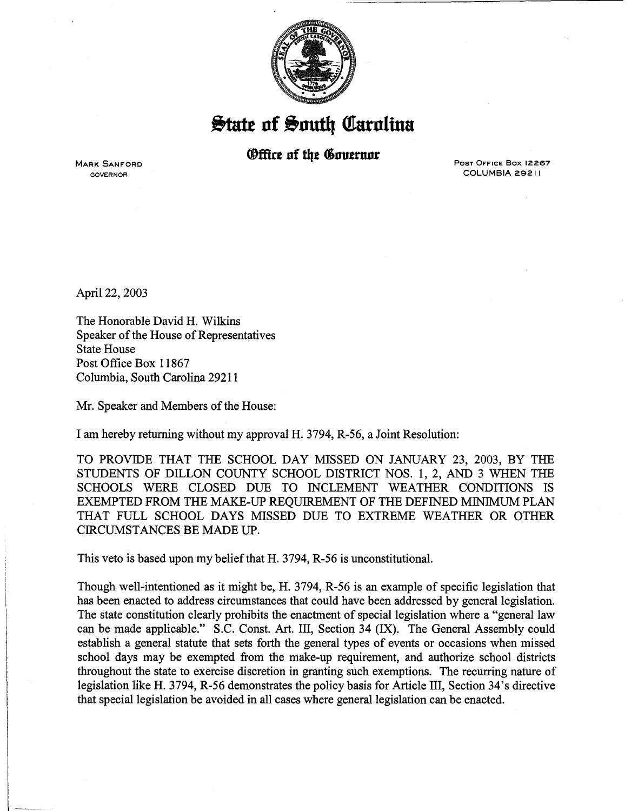

 $\frac{1}{2}$ tate of South Carolina

## *®ffice of the Governor*

**MARK SANFORD** GOVERNOR

POST OFFICE Box 12267 COLUMBIA 29211

April 22, 2003

The Honorable David H. Wilkins Speaker of the House of Representatives State House Post Office Box 11867 Columbia, South Carolina 29211

Mr. Speaker and Members of the House:

I am hereby returning without my approval H. 3794, R-56, a Joint Resolution:

TO PROVIDE THAT THE SCHOOL DAY MISSED ON JANUARY 23, 2003, BY THE STUDENTS OF DILLON COUNTY SCHOOL DISTRICT NOS. 1, 2, AND 3 WHEN THE SCHOOLS WERE CLOSED DUE TO INCLEMENT WEATHER CONDITIONS IS EXEMPTED FROM THE MAKE-UP REQUIREMENT OF THE DEFINED MINIMUM PLAN THAT FULL SCHOOL DAYS MISSED DUE TO EXTREME WEATHER OR OTHER CIRCUMSTANCES BE MADE UP.

This veto is based upon my belief that H. 3794, R-56 is unconstitutional.

Though well-intentioned as it might be, H. 3794, R-56 is an example of specific legislation that has been enacted to address circumstances that could have been addressed by general legislation. The state constitution clearly prohibits the enactment of special legislation where a "general law can be made applicable." S.C. Const. Art. III, Section 34 (IX). The General Assembly could establish a general statute that sets forth the general types of events or occasions when missed school days may be exempted from the make-up requirement, and authorize school districts throughout the state to exercise discretion in granting such exemptions. The recurring nature of legislation like H. 3794, R-56 demonstrates the policy basis for Article III, Section 34's directive that special legislation be avoided in all cases where general legislation can be enacted.